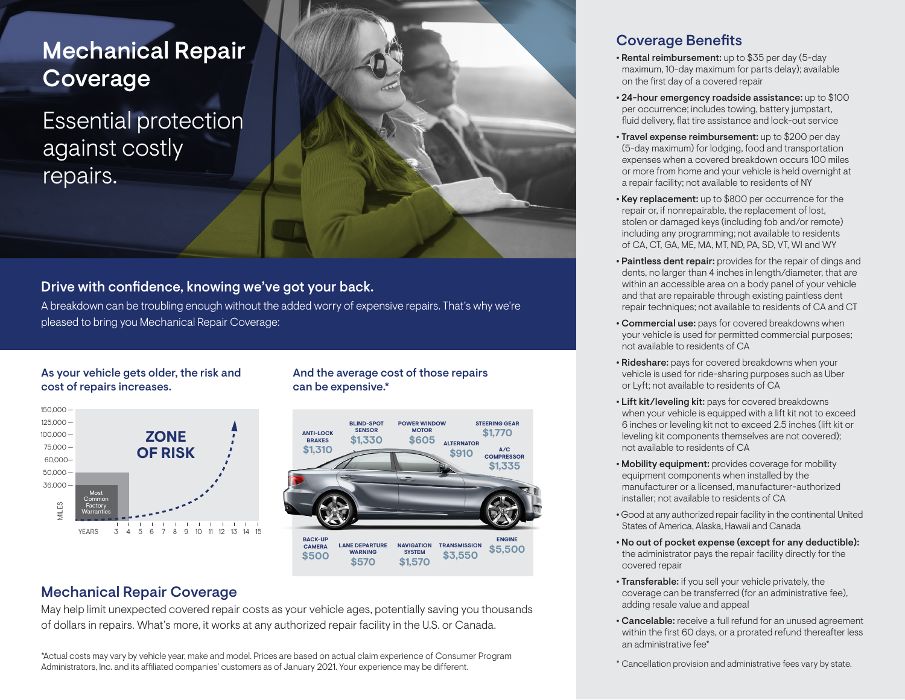# Mechanical Repair Coverage

Essential protection against costly repairs.



### Drive with confidence, knowing we've got your back.

A breakdown can be troubling enough without the added worry of expensive repairs. That's why we're pleased to bring you Mechanical Repair Coverage:

### As your vehicle gets older, the risk and cost of repairs increases.



And the average cost of those repairs can be expensive.\*



## Mechanical Repair Coverage

May help limit unexpected covered repair costs as your vehicle ages, potentially saving you thousands of dollars in repairs. What's more, it works at any authorized repair facility in the U.S. or Canada.

\*Actual costs may vary by vehicle year, make and model. Prices are based on actual claim experience of Consumer Program Administrators, Inc. and its affiliated companies' customers as of January 2021. Your experience may be different.

## Coverage Benefits

- Rental reimbursement: up to \$35 per day (5-day maximum, 10-day maximum for parts delay); available on the first day of a covered repair
- **•** 24-hour emergency roadside assistance: up to \$100 per occurrence; includes towing, battery jumpstart, fluid delivery, flat tire assistance and lock-out service
- **•** Travel expense reimbursement: up to \$200 per day (5-day maximum) for lodging, food and transportation expenses when a covered breakdown occurs 100 miles or more from home and your vehicle is held overnight at a repair facility; not available to residents of NY
- **•** Key replacement: up to \$800 per occurrence for the repair or, if nonrepairable, the replacement of lost, stolen or damaged keys (including fob and/or remote) including any programming; not available to residents of CA, CT, GA, ME, MA, MT, ND, PA, SD, VT, WI and WY
- **•** Paintless dent repair: provides for the repair of dings and dents, no larger than 4 inches in length/diameter, that are within an accessible area on a body panel of your vehicle and that are repairable through existing paintless dent repair techniques; not available to residents of CA and CT
- **•** Commercial use: pays for covered breakdowns when your vehicle is used for permitted commercial purposes; not available to residents of CA
- **•** Rideshare: pays for covered breakdowns when your vehicle is used for ride-sharing purposes such as Uber or Lyft; not available to residents of CA
- **•** Lift kit/leveling kit: pays for covered breakdowns when your vehicle is equipped with a lift kit not to exceed 6 inches or leveling kit not to exceed 2.5 inches (lift kit or leveling kit components themselves are not covered); not available to residents of CA
- **•** Mobility equipment: provides coverage for mobility equipment components when installed by the manufacturer or a licensed, manufacturer-authorized installer; not available to residents of CA
- **•** Good at any authorized repair facility in the continental United States of America, Alaska, Hawaii and Canada
- **•** No out of pocket expense (except for any deductible): the administrator pays the repair facility directly for the covered repair
- **•** Transferable: if you sell your vehicle privately, the coverage can be transferred (for an administrative fee), adding resale value and appeal
- **•** Cancelable: receive a full refund for an unused agreement within the first 60 days, or a prorated refund thereafter less an administrative fee\*

\* Cancellation provision and administrative fees vary by state.